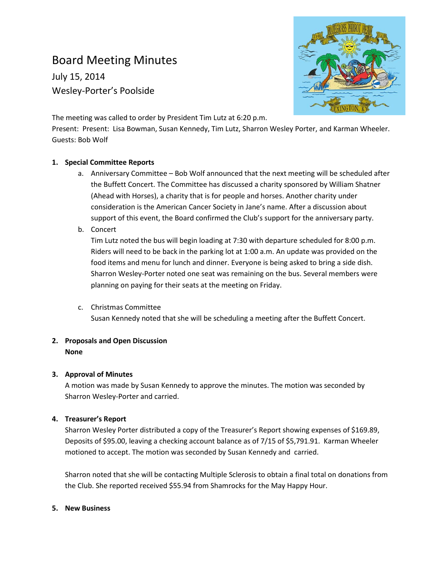# Board Meeting Minutes

July 15, 2014 Wesley-Porter's Poolside



The meeting was called to order by President Tim Lutz at 6:20 p.m.

Present: Present: Lisa Bowman, Susan Kennedy, Tim Lutz, Sharron Wesley Porter, and Karman Wheeler. Guests: Bob Wolf

## **1. Special Committee Reports**

- a. Anniversary Committee Bob Wolf announced that the next meeting will be scheduled after the Buffett Concert. The Committee has discussed a charity sponsored by William Shatner (Ahead with Horses), a charity that is for people and horses. Another charity under consideration is the American Cancer Society in Jane's name. After a discussion about support of this event, the Board confirmed the Club's support for the anniversary party.
- b. Concert

Tim Lutz noted the bus will begin loading at 7:30 with departure scheduled for 8:00 p.m. Riders will need to be back in the parking lot at 1:00 a.m. An update was provided on the food items and menu for lunch and dinner. Everyone is being asked to bring a side dish. Sharron Wesley-Porter noted one seat was remaining on the bus. Several members were planning on paying for their seats at the meeting on Friday.

c. Christmas Committee

Susan Kennedy noted that she will be scheduling a meeting after the Buffett Concert.

# **2. Proposals and Open Discussion None**

## **3. Approval of Minutes**

A motion was made by Susan Kennedy to approve the minutes. The motion was seconded by Sharron Wesley-Porter and carried.

## **4. Treasurer's Report**

Sharron Wesley Porter distributed a copy of the Treasurer's Report showing expenses of \$169.89, Deposits of \$95.00, leaving a checking account balance as of 7/15 of \$5,791.91. Karman Wheeler motioned to accept. The motion was seconded by Susan Kennedy and carried.

Sharron noted that she will be contacting Multiple Sclerosis to obtain a final total on donations from the Club. She reported received \$55.94 from Shamrocks for the May Happy Hour.

## **5. New Business**